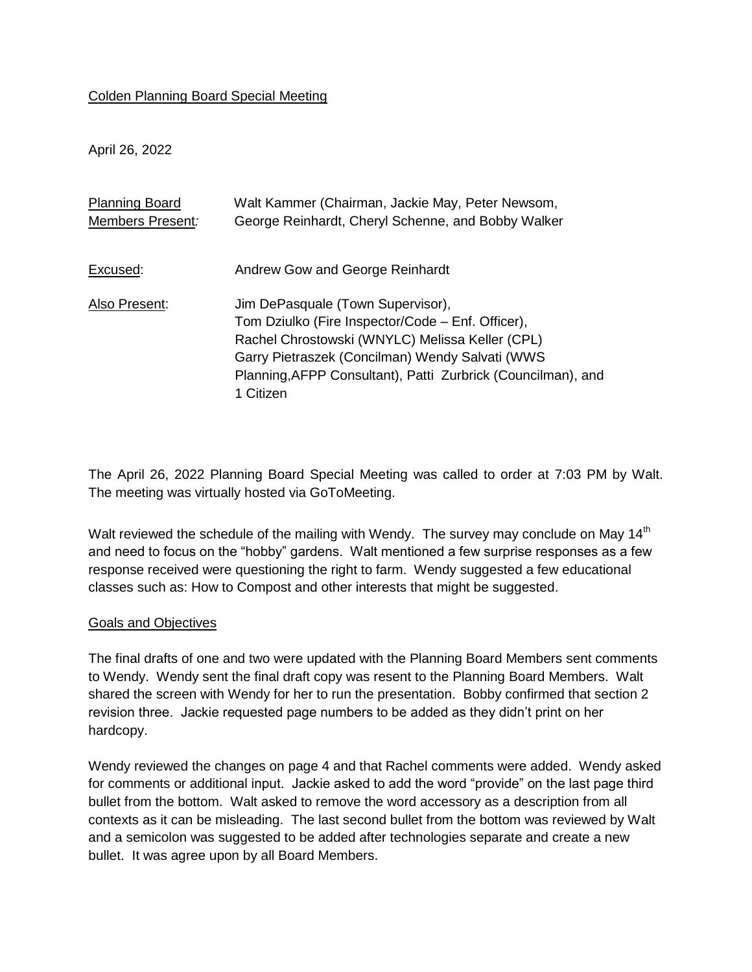## Colden Planning Board Special Meeting

April 26, 2022

| <b>Planning Board</b> | Walt Kammer (Chairman, Jackie May, Peter Newsom,                                                                                                                                                                                                                          |
|-----------------------|---------------------------------------------------------------------------------------------------------------------------------------------------------------------------------------------------------------------------------------------------------------------------|
| Members Present:      | George Reinhardt, Cheryl Schenne, and Bobby Walker                                                                                                                                                                                                                        |
| Excused:              | Andrew Gow and George Reinhardt                                                                                                                                                                                                                                           |
| Also Present:         | Jim DePasquale (Town Supervisor),<br>Tom Dziulko (Fire Inspector/Code – Enf. Officer),<br>Rachel Chrostowski (WNYLC) Melissa Keller (CPL)<br>Garry Pietraszek (Concilman) Wendy Salvati (WWS<br>Planning, AFPP Consultant), Patti Zurbrick (Councilman), and<br>1 Citizen |

The April 26, 2022 Planning Board Special Meeting was called to order at 7:03 PM by Walt. The meeting was virtually hosted via GoToMeeting.

Walt reviewed the schedule of the mailing with Wendy. The survey may conclude on May 14<sup>th</sup> and need to focus on the "hobby" gardens. Walt mentioned a few surprise responses as a few response received were questioning the right to farm. Wendy suggested a few educational classes such as: How to Compost and other interests that might be suggested.

## Goals and Objectives

The final drafts of one and two were updated with the Planning Board Members sent comments to Wendy. Wendy sent the final draft copy was resent to the Planning Board Members. Walt shared the screen with Wendy for her to run the presentation. Bobby confirmed that section 2 revision three. Jackie requested page numbers to be added as they didn't print on her hardcopy.

Wendy reviewed the changes on page 4 and that Rachel comments were added. Wendy asked for comments or additional input. Jackie asked to add the word "provide" on the last page third bullet from the bottom. Walt asked to remove the word accessory as a description from all contexts as it can be misleading. The last second bullet from the bottom was reviewed by Walt and a semicolon was suggested to be added after technologies separate and create a new bullet. It was agree upon by all Board Members.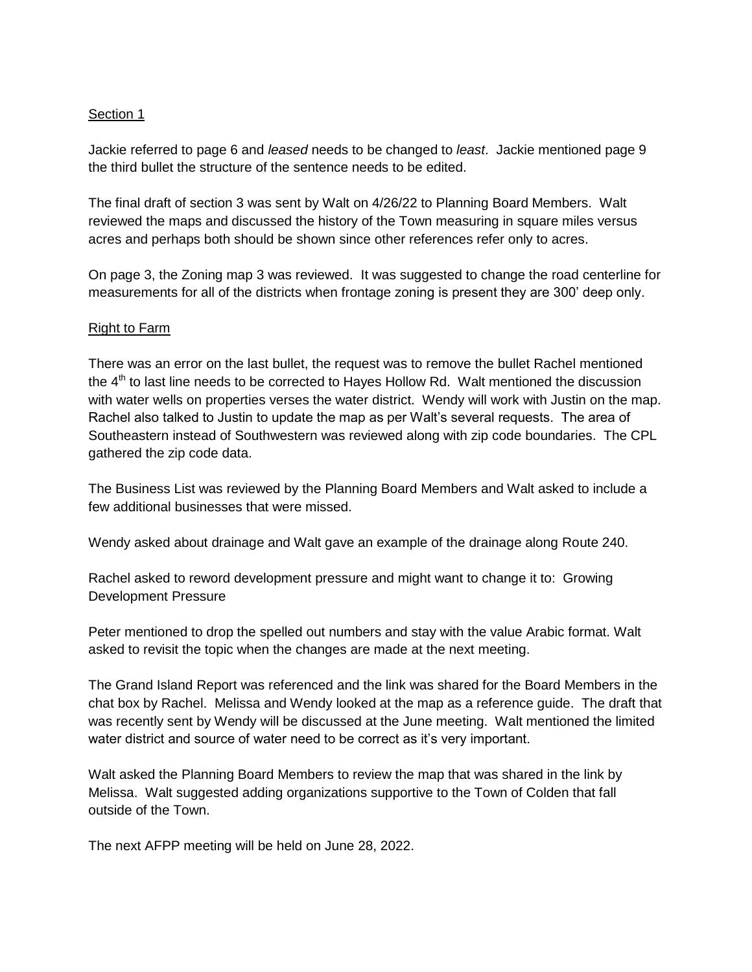## Section 1

Jackie referred to page 6 and *leased* needs to be changed to *least*. Jackie mentioned page 9 the third bullet the structure of the sentence needs to be edited.

The final draft of section 3 was sent by Walt on 4/26/22 to Planning Board Members. Walt reviewed the maps and discussed the history of the Town measuring in square miles versus acres and perhaps both should be shown since other references refer only to acres.

On page 3, the Zoning map 3 was reviewed. It was suggested to change the road centerline for measurements for all of the districts when frontage zoning is present they are 300' deep only.

## Right to Farm

There was an error on the last bullet, the request was to remove the bullet Rachel mentioned the  $4<sup>th</sup>$  to last line needs to be corrected to Hayes Hollow Rd. Walt mentioned the discussion with water wells on properties verses the water district. Wendy will work with Justin on the map. Rachel also talked to Justin to update the map as per Walt's several requests. The area of Southeastern instead of Southwestern was reviewed along with zip code boundaries. The CPL gathered the zip code data.

The Business List was reviewed by the Planning Board Members and Walt asked to include a few additional businesses that were missed.

Wendy asked about drainage and Walt gave an example of the drainage along Route 240.

Rachel asked to reword development pressure and might want to change it to: Growing Development Pressure

Peter mentioned to drop the spelled out numbers and stay with the value Arabic format. Walt asked to revisit the topic when the changes are made at the next meeting.

The Grand Island Report was referenced and the link was shared for the Board Members in the chat box by Rachel. Melissa and Wendy looked at the map as a reference guide. The draft that was recently sent by Wendy will be discussed at the June meeting. Walt mentioned the limited water district and source of water need to be correct as it's very important.

Walt asked the Planning Board Members to review the map that was shared in the link by Melissa. Walt suggested adding organizations supportive to the Town of Colden that fall outside of the Town.

The next AFPP meeting will be held on June 28, 2022.